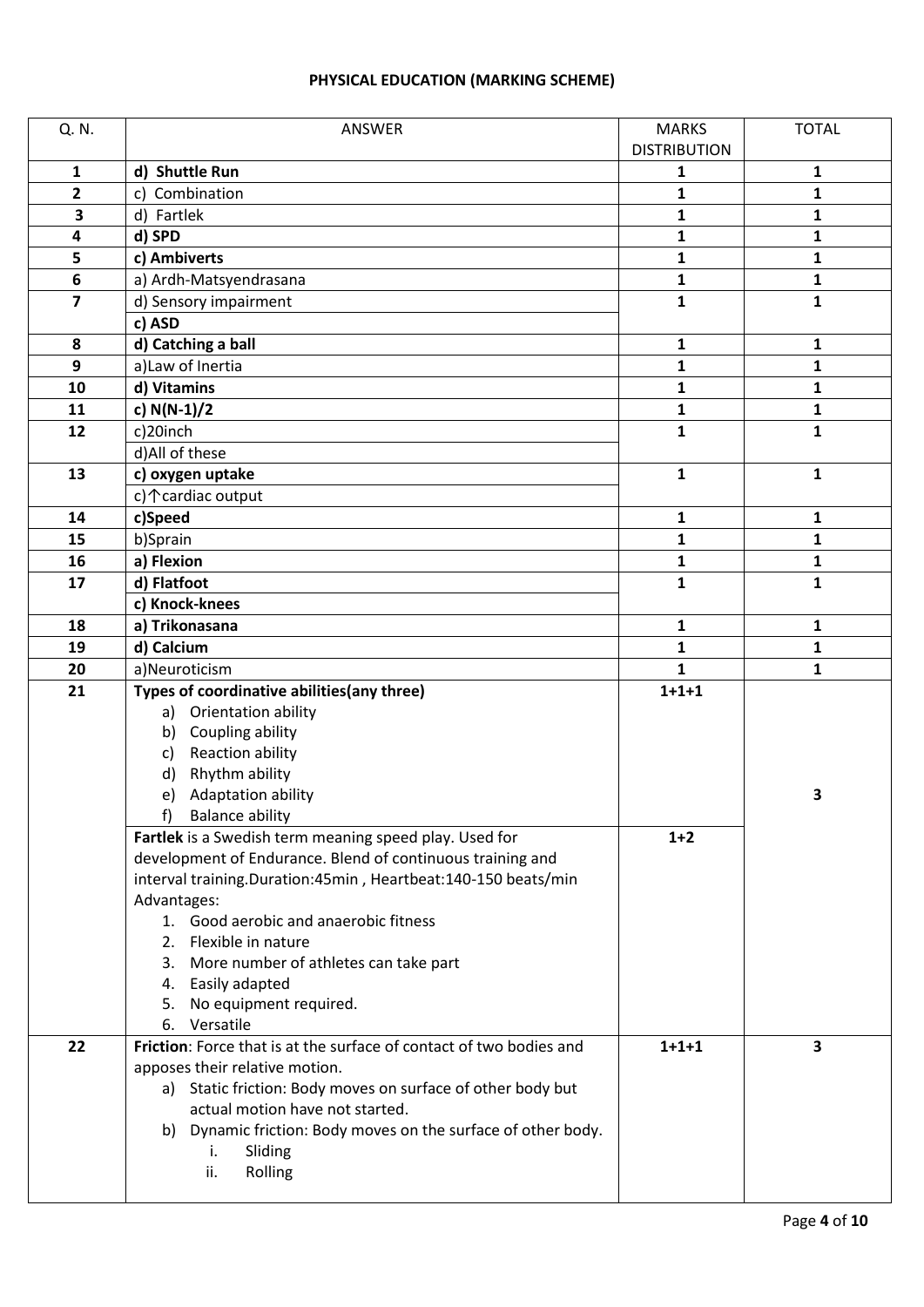# **PHYSICAL EDUCATION (MARKING SCHEME)**

| Q. N.                   | ANSWER                                                                                        | <b>MARKS</b>        | <b>TOTAL</b> |
|-------------------------|-----------------------------------------------------------------------------------------------|---------------------|--------------|
|                         |                                                                                               | <b>DISTRIBUTION</b> |              |
| $\mathbf{1}$            | d) Shuttle Run                                                                                | 1                   | $\mathbf{1}$ |
| $\overline{2}$          | Combination<br>C)                                                                             | 1                   | 1            |
| 3                       | d) Fartlek                                                                                    | 1                   | 1            |
| 4                       | d) SPD                                                                                        | 1                   | $\mathbf{1}$ |
| 5                       | c) Ambiverts                                                                                  | 1                   | 1            |
| 6                       | a) Ardh-Matsyendrasana                                                                        | 1                   | 1            |
| $\overline{\mathbf{z}}$ | d) Sensory impairment                                                                         | $\mathbf{1}$        | $\mathbf{1}$ |
|                         | c) ASD                                                                                        |                     |              |
| 8                       | d) Catching a ball                                                                            | 1                   | 1            |
| 9                       | a) Law of Inertia                                                                             | 1                   | $\mathbf{1}$ |
| 10                      | d) Vitamins                                                                                   | 1                   | 1            |
| 11                      | c) $N(N-1)/2$                                                                                 | 1                   | 1            |
| 12                      | c)20inch                                                                                      | $\mathbf{1}$        | $\mathbf{1}$ |
|                         | d) All of these                                                                               |                     |              |
| 13                      | c) oxygen uptake                                                                              | 1                   | $\mathbf{1}$ |
|                         | c) 个 cardiac output                                                                           |                     |              |
| 14                      | c)Speed                                                                                       | 1                   | 1            |
| 15                      | b)Sprain                                                                                      | 1                   | 1            |
| 16                      | a) Flexion                                                                                    | 1                   | 1            |
| 17                      | d) Flatfoot                                                                                   | $\mathbf{1}$        | $\mathbf{1}$ |
|                         | c) Knock-knees                                                                                |                     |              |
| 18                      | a) Trikonasana                                                                                | 1                   | 1            |
| 19                      | d) Calcium                                                                                    | $\mathbf{1}$        | $\mathbf{1}$ |
| 20                      | a)Neuroticism                                                                                 | 1                   | $\mathbf{1}$ |
| 21                      | Types of coordinative abilities(any three)                                                    | $1 + 1 + 1$         |              |
|                         | a) Orientation ability                                                                        |                     |              |
|                         | Coupling ability<br>b)                                                                        |                     |              |
|                         | <b>Reaction ability</b><br>c)                                                                 |                     |              |
|                         | Rhythm ability<br>d)                                                                          |                     |              |
|                         | Adaptation ability<br>e)                                                                      |                     | 3            |
|                         | <b>Balance ability</b><br>$\ddot{}$<br>Fartlek is a Swedish term meaning speed play. Used for | $1+2$               |              |
|                         | development of Endurance. Blend of continuous training and                                    |                     |              |
|                         | interval training.Duration:45min, Heartbeat:140-150 beats/min                                 |                     |              |
|                         | Advantages:                                                                                   |                     |              |
|                         | 1. Good aerobic and anaerobic fitness                                                         |                     |              |
|                         | 2. Flexible in nature                                                                         |                     |              |
|                         | 3. More number of athletes can take part                                                      |                     |              |
|                         | 4. Easily adapted                                                                             |                     |              |
|                         | No equipment required.<br>5.                                                                  |                     |              |
|                         | Versatile<br>6.                                                                               |                     |              |
| 22                      | Friction: Force that is at the surface of contact of two bodies and                           | $1 + 1 + 1$         | 3            |
|                         | apposes their relative motion.                                                                |                     |              |
|                         | a) Static friction: Body moves on surface of other body but                                   |                     |              |
|                         | actual motion have not started.                                                               |                     |              |
|                         | Dynamic friction: Body moves on the surface of other body.<br>b)                              |                     |              |
|                         | Sliding<br>i.                                                                                 |                     |              |
|                         | Rolling<br>ii.                                                                                |                     |              |
|                         |                                                                                               |                     |              |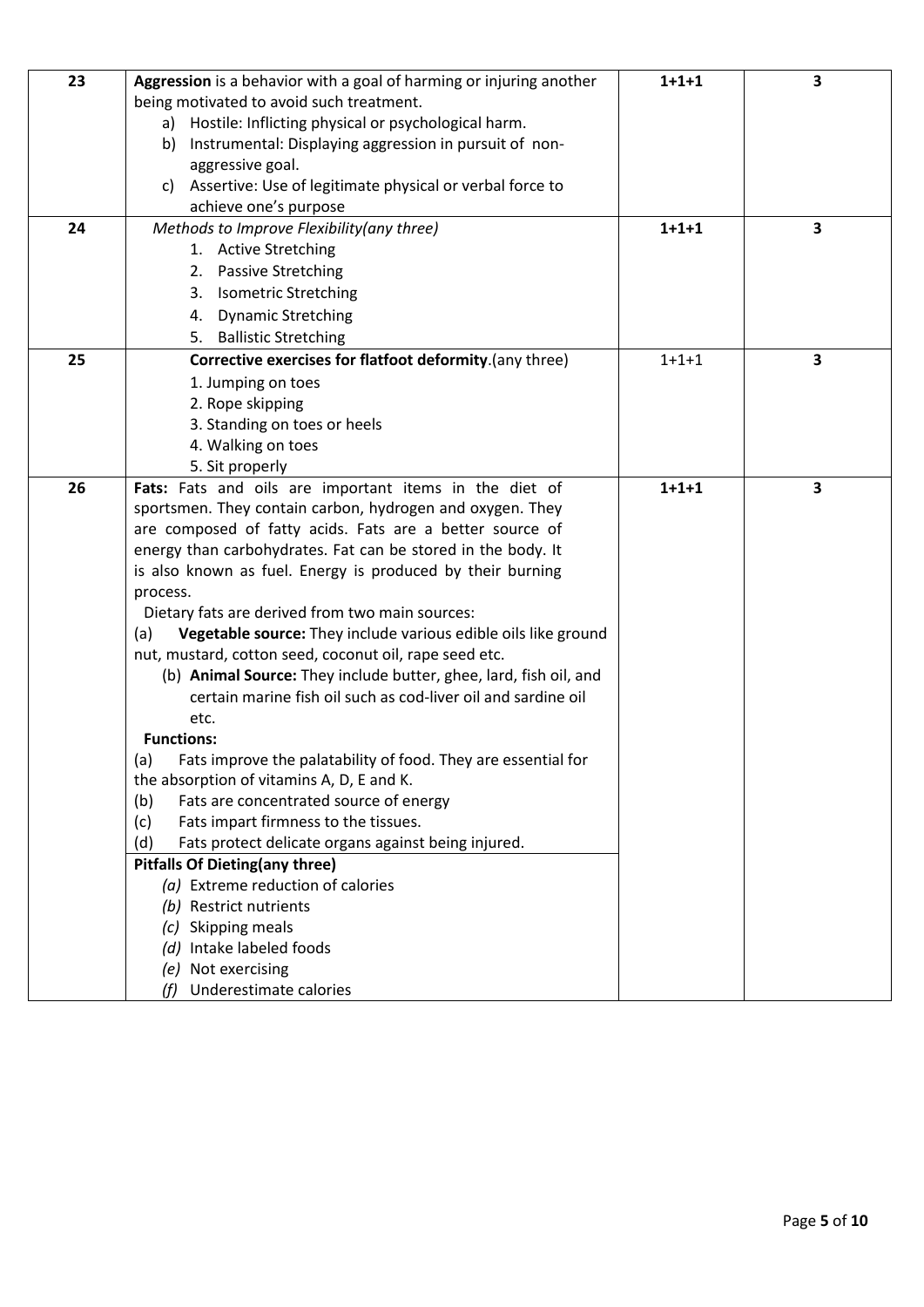| 23 | Aggression is a behavior with a goal of harming or injuring another                                                                | $1 + 1 + 1$ | 3 |
|----|------------------------------------------------------------------------------------------------------------------------------------|-------------|---|
|    | being motivated to avoid such treatment.                                                                                           |             |   |
|    | a) Hostile: Inflicting physical or psychological harm.                                                                             |             |   |
|    | Instrumental: Displaying aggression in pursuit of non-<br>b)                                                                       |             |   |
|    | aggressive goal.                                                                                                                   |             |   |
|    | Assertive: Use of legitimate physical or verbal force to<br>C)                                                                     |             |   |
|    | achieve one's purpose                                                                                                              |             |   |
| 24 | Methods to Improve Flexibility(any three)                                                                                          | $1 + 1 + 1$ | 3 |
|    | 1. Active Stretching                                                                                                               |             |   |
|    | 2. Passive Stretching                                                                                                              |             |   |
|    | 3. Isometric Stretching                                                                                                            |             |   |
|    | <b>Dynamic Stretching</b><br>4.                                                                                                    |             |   |
|    | 5. Ballistic Stretching                                                                                                            |             |   |
| 25 | Corrective exercises for flatfoot deformity.(any three)                                                                            | $1 + 1 + 1$ | 3 |
|    | 1. Jumping on toes                                                                                                                 |             |   |
|    | 2. Rope skipping                                                                                                                   |             |   |
|    | 3. Standing on toes or heels                                                                                                       |             |   |
|    | 4. Walking on toes                                                                                                                 |             |   |
|    | 5. Sit properly                                                                                                                    |             |   |
| 26 | Fats: Fats and oils are important items in the diet of                                                                             | $1 + 1 + 1$ | 3 |
|    | sportsmen. They contain carbon, hydrogen and oxygen. They                                                                          |             |   |
|    | are composed of fatty acids. Fats are a better source of                                                                           |             |   |
|    | energy than carbohydrates. Fat can be stored in the body. It                                                                       |             |   |
|    | is also known as fuel. Energy is produced by their burning                                                                         |             |   |
|    | process.                                                                                                                           |             |   |
|    | Dietary fats are derived from two main sources:                                                                                    |             |   |
|    | Vegetable source: They include various edible oils like ground<br>(a)                                                              |             |   |
|    | nut, mustard, cotton seed, coconut oil, rape seed etc.                                                                             |             |   |
|    | (b) Animal Source: They include butter, ghee, lard, fish oil, and<br>certain marine fish oil such as cod-liver oil and sardine oil |             |   |
|    | etc.                                                                                                                               |             |   |
|    | <b>Functions:</b>                                                                                                                  |             |   |
|    | Fats improve the palatability of food. They are essential for<br>(a)                                                               |             |   |
|    | the absorption of vitamins A, D, E and K.                                                                                          |             |   |
|    | Fats are concentrated source of energy<br>(b)                                                                                      |             |   |
|    | (c)<br>Fats impart firmness to the tissues.                                                                                        |             |   |
|    | Fats protect delicate organs against being injured.<br>(d)                                                                         |             |   |
|    | <b>Pitfalls Of Dieting(any three)</b>                                                                                              |             |   |
|    | (a) Extreme reduction of calories                                                                                                  |             |   |
|    | (b) Restrict nutrients                                                                                                             |             |   |
|    | Skipping meals                                                                                                                     |             |   |
|    | Intake labeled foods<br>(d)                                                                                                        |             |   |
|    | (e) Not exercising                                                                                                                 |             |   |
|    | Underestimate calories<br>(f)                                                                                                      |             |   |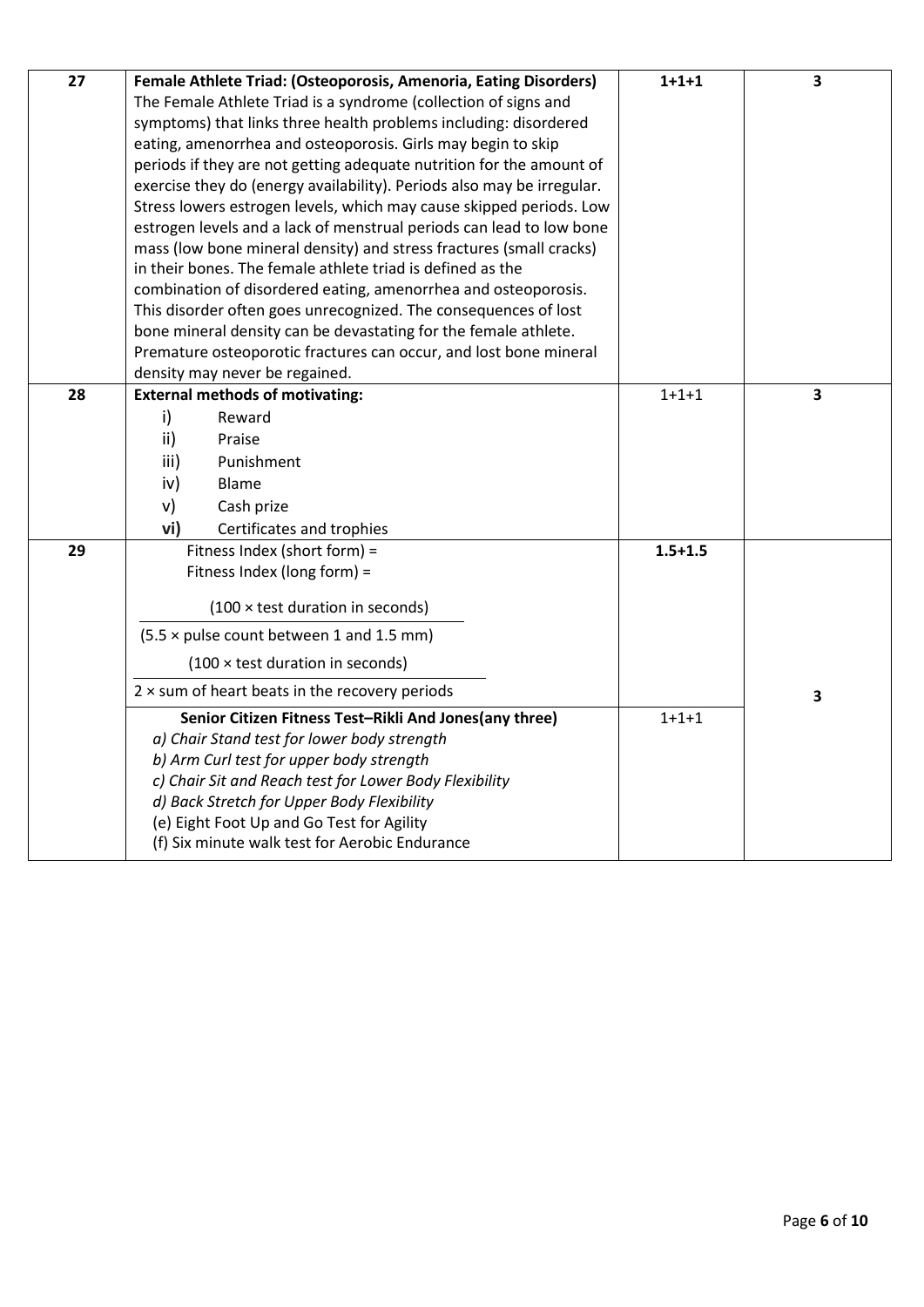| 27 | Female Athlete Triad: (Osteoporosis, Amenoria, Eating Disorders)<br>The Female Athlete Triad is a syndrome (collection of signs and<br>symptoms) that links three health problems including: disordered<br>eating, amenorrhea and osteoporosis. Girls may begin to skip<br>periods if they are not getting adequate nutrition for the amount of<br>exercise they do (energy availability). Periods also may be irregular. | $1 + 1 + 1$ | 3 |
|----|---------------------------------------------------------------------------------------------------------------------------------------------------------------------------------------------------------------------------------------------------------------------------------------------------------------------------------------------------------------------------------------------------------------------------|-------------|---|
|    | Stress lowers estrogen levels, which may cause skipped periods. Low<br>estrogen levels and a lack of menstrual periods can lead to low bone                                                                                                                                                                                                                                                                               |             |   |
|    | mass (low bone mineral density) and stress fractures (small cracks)<br>in their bones. The female athlete triad is defined as the                                                                                                                                                                                                                                                                                         |             |   |
|    | combination of disordered eating, amenorrhea and osteoporosis.                                                                                                                                                                                                                                                                                                                                                            |             |   |
|    | This disorder often goes unrecognized. The consequences of lost                                                                                                                                                                                                                                                                                                                                                           |             |   |
|    | bone mineral density can be devastating for the female athlete.                                                                                                                                                                                                                                                                                                                                                           |             |   |
|    | Premature osteoporotic fractures can occur, and lost bone mineral<br>density may never be regained.                                                                                                                                                                                                                                                                                                                       |             |   |
| 28 | <b>External methods of motivating:</b>                                                                                                                                                                                                                                                                                                                                                                                    | $1 + 1 + 1$ | 3 |
|    | $\mathsf{i}$<br>Reward                                                                                                                                                                                                                                                                                                                                                                                                    |             |   |
|    | ii)<br>Praise                                                                                                                                                                                                                                                                                                                                                                                                             |             |   |
|    | iii)<br>Punishment                                                                                                                                                                                                                                                                                                                                                                                                        |             |   |
|    | iv)<br>Blame                                                                                                                                                                                                                                                                                                                                                                                                              |             |   |
|    | v)<br>Cash prize                                                                                                                                                                                                                                                                                                                                                                                                          |             |   |
|    | vi)<br>Certificates and trophies                                                                                                                                                                                                                                                                                                                                                                                          |             |   |
| 29 | Fitness Index (short form) =<br>Fitness Index (long form) =                                                                                                                                                                                                                                                                                                                                                               | $1.5 + 1.5$ |   |
|    | $(100 \times \text{test duration in seconds})$                                                                                                                                                                                                                                                                                                                                                                            |             |   |
|    | (5.5 x pulse count between 1 and 1.5 mm)                                                                                                                                                                                                                                                                                                                                                                                  |             |   |
|    | $(100 \times \text{test duration in seconds})$                                                                                                                                                                                                                                                                                                                                                                            |             |   |
|    | $2 \times$ sum of heart beats in the recovery periods                                                                                                                                                                                                                                                                                                                                                                     |             | 3 |
|    | Senior Citizen Fitness Test-Rikli And Jones(any three)                                                                                                                                                                                                                                                                                                                                                                    | $1 + 1 + 1$ |   |
|    | a) Chair Stand test for lower body strength<br>b) Arm Curl test for upper body strength                                                                                                                                                                                                                                                                                                                                   |             |   |
|    | c) Chair Sit and Reach test for Lower Body Flexibility                                                                                                                                                                                                                                                                                                                                                                    |             |   |
|    | d) Back Stretch for Upper Body Flexibility                                                                                                                                                                                                                                                                                                                                                                                |             |   |
|    | (e) Eight Foot Up and Go Test for Agility                                                                                                                                                                                                                                                                                                                                                                                 |             |   |
|    | (f) Six minute walk test for Aerobic Endurance                                                                                                                                                                                                                                                                                                                                                                            |             |   |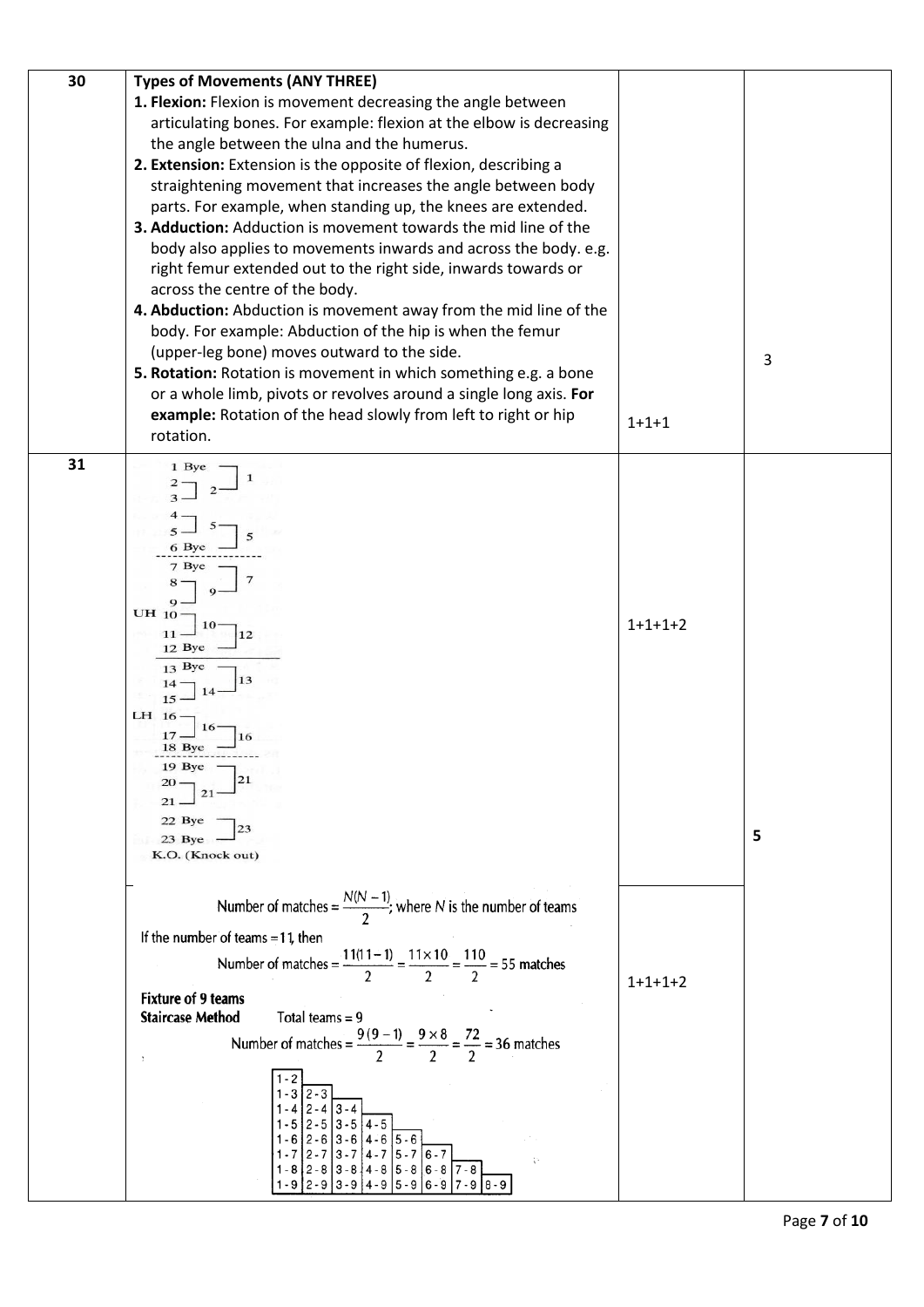| 30 | <b>Types of Movements (ANY THREE)</b>                                                          |             |   |
|----|------------------------------------------------------------------------------------------------|-------------|---|
|    | 1. Flexion: Flexion is movement decreasing the angle between                                   |             |   |
|    | articulating bones. For example: flexion at the elbow is decreasing                            |             |   |
|    | the angle between the ulna and the humerus.                                                    |             |   |
|    | 2. Extension: Extension is the opposite of flexion, describing a                               |             |   |
|    | straightening movement that increases the angle between body                                   |             |   |
|    | parts. For example, when standing up, the knees are extended.                                  |             |   |
|    | 3. Adduction: Adduction is movement towards the mid line of the                                |             |   |
|    | body also applies to movements inwards and across the body. e.g.                               |             |   |
|    | right femur extended out to the right side, inwards towards or                                 |             |   |
|    | across the centre of the body.                                                                 |             |   |
|    | 4. Abduction: Abduction is movement away from the mid line of the                              |             |   |
|    | body. For example: Abduction of the hip is when the femur                                      |             |   |
|    | (upper-leg bone) moves outward to the side.                                                    |             | 3 |
|    | 5. Rotation: Rotation is movement in which something e.g. a bone                               |             |   |
|    | or a whole limb, pivots or revolves around a single long axis. For                             |             |   |
|    | example: Rotation of the head slowly from left to right or hip                                 | $1 + 1 + 1$ |   |
|    | rotation.                                                                                      |             |   |
| 31 | 1 Bye                                                                                          |             |   |
|    |                                                                                                |             |   |
|    |                                                                                                |             |   |
|    |                                                                                                |             |   |
|    | 6 Bye                                                                                          |             |   |
|    |                                                                                                |             |   |
|    |                                                                                                |             |   |
|    | $UH_{10}$                                                                                      |             |   |
|    | 12                                                                                             | $1+1+1+2$   |   |
|    | 12 Bye                                                                                         |             |   |
|    | $13$ Bye<br>13                                                                                 |             |   |
|    | 15                                                                                             |             |   |
|    | LH 16                                                                                          |             |   |
|    | 18 Bye                                                                                         |             |   |
|    | 19 Bye -                                                                                       |             |   |
|    | 21                                                                                             |             |   |
|    |                                                                                                |             |   |
|    | 22 Bye $\frac{ }{23 \text{ Bye}}$ $\frac{ }{23}$                                               |             | 5 |
|    | K.O. (Knock out)                                                                               |             |   |
|    |                                                                                                |             |   |
|    | Number of matches = $\frac{N(N-1)}{2}$ ; where N is the number of teams                        |             |   |
|    |                                                                                                |             |   |
|    | If the number of teams $=11$ , then                                                            |             |   |
|    | Number of matches = $\frac{11(11-1)}{2} = \frac{11 \times 10}{2} = \frac{110}{2} = 55$ matches |             |   |
|    |                                                                                                | $1+1+1+2$   |   |
|    | <b>Fixture of 9 teams</b>                                                                      |             |   |
|    | <b>Staircase Method</b><br>Total teams $= 9$                                                   |             |   |
|    | Number of matches = $\frac{9(9-1)}{2} = \frac{9 \times 8}{2} = \frac{72}{2} = 36$ matches      |             |   |
|    |                                                                                                |             |   |
|    |                                                                                                |             |   |
|    |                                                                                                |             |   |
|    |                                                                                                |             |   |
|    |                                                                                                |             |   |
|    |                                                                                                |             |   |
|    |                                                                                                |             |   |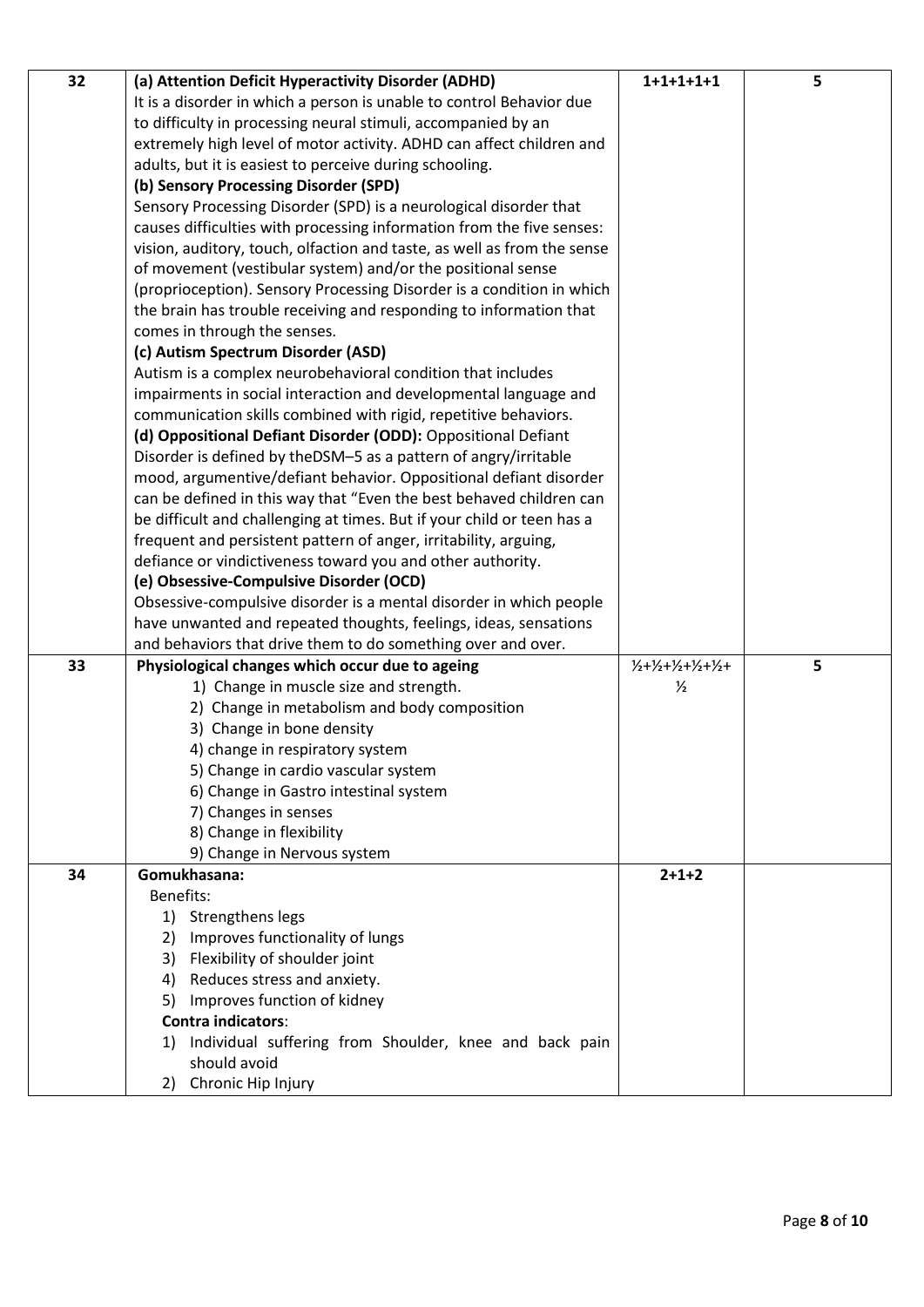| 32 | (a) Attention Deficit Hyperactivity Disorder (ADHD)                     | $1+1+1+1+1$        | 5 |
|----|-------------------------------------------------------------------------|--------------------|---|
|    | It is a disorder in which a person is unable to control Behavior due    |                    |   |
|    | to difficulty in processing neural stimuli, accompanied by an           |                    |   |
|    | extremely high level of motor activity. ADHD can affect children and    |                    |   |
|    | adults, but it is easiest to perceive during schooling.                 |                    |   |
|    | (b) Sensory Processing Disorder (SPD)                                   |                    |   |
|    | Sensory Processing Disorder (SPD) is a neurological disorder that       |                    |   |
|    | causes difficulties with processing information from the five senses:   |                    |   |
|    | vision, auditory, touch, olfaction and taste, as well as from the sense |                    |   |
|    | of movement (vestibular system) and/or the positional sense             |                    |   |
|    | (proprioception). Sensory Processing Disorder is a condition in which   |                    |   |
|    | the brain has trouble receiving and responding to information that      |                    |   |
|    | comes in through the senses.                                            |                    |   |
|    | (c) Autism Spectrum Disorder (ASD)                                      |                    |   |
|    | Autism is a complex neurobehavioral condition that includes             |                    |   |
|    | impairments in social interaction and developmental language and        |                    |   |
|    | communication skills combined with rigid, repetitive behaviors.         |                    |   |
|    | (d) Oppositional Defiant Disorder (ODD): Oppositional Defiant           |                    |   |
|    | Disorder is defined by theDSM-5 as a pattern of angry/irritable         |                    |   |
|    | mood, argumentive/defiant behavior. Oppositional defiant disorder       |                    |   |
|    | can be defined in this way that "Even the best behaved children can     |                    |   |
|    | be difficult and challenging at times. But if your child or teen has a  |                    |   |
|    | frequent and persistent pattern of anger, irritability, arguing,        |                    |   |
|    | defiance or vindictiveness toward you and other authority.              |                    |   |
|    | (e) Obsessive-Compulsive Disorder (OCD)                                 |                    |   |
|    | Obsessive-compulsive disorder is a mental disorder in which people      |                    |   |
|    | have unwanted and repeated thoughts, feelings, ideas, sensations        |                    |   |
|    | and behaviors that drive them to do something over and over.            |                    |   |
| 33 | Physiological changes which occur due to ageing                         | $1/2+1/2+1/2+1/2+$ | 5 |
|    | 1) Change in muscle size and strength.                                  | $\frac{1}{2}$      |   |
|    | 2) Change in metabolism and body composition                            |                    |   |
|    | 3) Change in bone density                                               |                    |   |
|    | 4) change in respiratory system                                         |                    |   |
|    | 5) Change in cardio vascular system                                     |                    |   |
|    | 6) Change in Gastro intestinal system                                   |                    |   |
|    | 7) Changes in senses                                                    |                    |   |
|    | 8) Change in flexibility                                                |                    |   |
|    | 9) Change in Nervous system                                             |                    |   |
| 34 | Gomukhasana:                                                            | $2 + 1 + 2$        |   |
|    | Benefits:                                                               |                    |   |
|    | 1) Strengthens legs                                                     |                    |   |
|    | Improves functionality of lungs<br>2)                                   |                    |   |
|    | Flexibility of shoulder joint<br>3)                                     |                    |   |
|    | Reduces stress and anxiety.<br>4)                                       |                    |   |
|    | 5) Improves function of kidney                                          |                    |   |
|    | Contra indicators:                                                      |                    |   |
|    | Individual suffering from Shoulder, knee and back pain<br>1)            |                    |   |
|    | should avoid                                                            |                    |   |
|    | 2) Chronic Hip Injury                                                   |                    |   |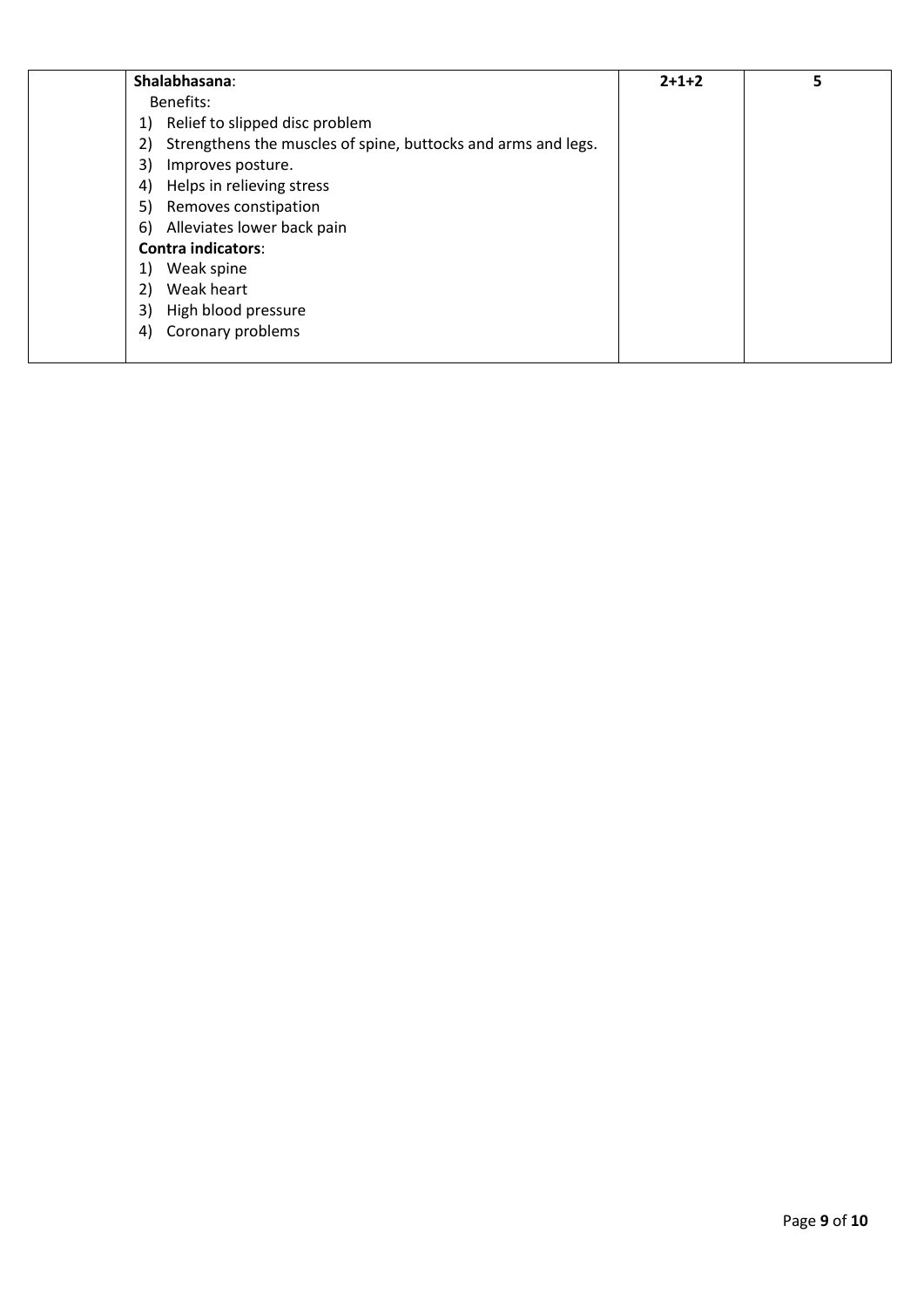|    | Shalabhasana:                                                 | $2+1+2$ | 5 |
|----|---------------------------------------------------------------|---------|---|
|    | Benefits:                                                     |         |   |
| 1) | Relief to slipped disc problem                                |         |   |
| 2) | Strengthens the muscles of spine, buttocks and arms and legs. |         |   |
| 3) | Improves posture.                                             |         |   |
| 4) | Helps in relieving stress                                     |         |   |
| 5) | Removes constipation                                          |         |   |
| 6) | Alleviates lower back pain                                    |         |   |
|    | <b>Contra indicators:</b>                                     |         |   |
| 1) | Weak spine                                                    |         |   |
| 2) | Weak heart                                                    |         |   |
| 3) | High blood pressure                                           |         |   |
| 4) | Coronary problems                                             |         |   |
|    |                                                               |         |   |